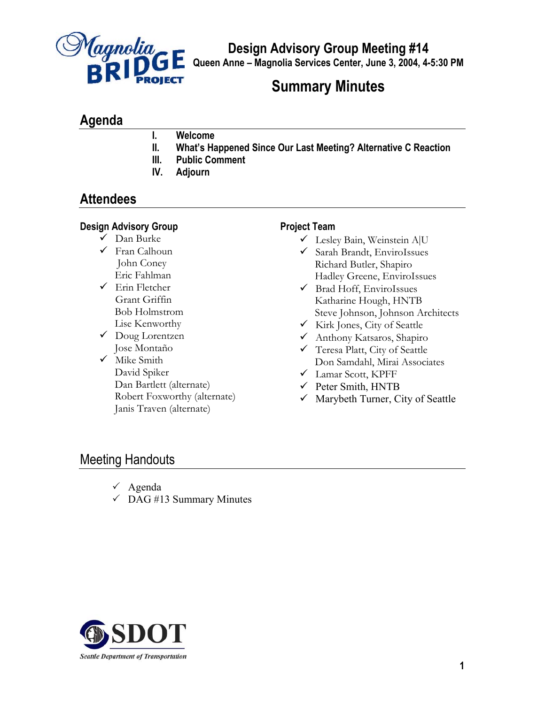

**Design Advisory Group Meeting #14** 

**Queen Anne – Magnolia Services Center, June 3, 2004, 4-5:30 PM**

# **Summary Minutes**

## **Agenda**

- **I. Welcome**
- **II. What's Happened Since Our Last Meeting? Alternative C Reaction**
- **III. Public Comment**
- **IV. Adjourn**

## **Attendees**

#### **Design Advisory Group**

- $\checkmark$  Dan Burke
- $\checkmark$  Fran Calhoun John Coney Eric Fahlman
- $\checkmark$  Erin Fletcher Grant Griffin Bob Holmstrom Lise Kenworthy
- $\checkmark$  Doug Lorentzen Jose Montaño
- $\checkmark$  Mike Smith David Spiker Dan Bartlett (alternate) Robert Foxworthy (alternate) Janis Traven (alternate)

#### **Project Team**

- $\checkmark$  Lesley Bain, Weinstein A|U
- $\checkmark$  Sarah Brandt, EnviroIssues Richard Butler, Shapiro Hadley Greene, EnviroIssues
- $\checkmark$  Brad Hoff, EnviroIssues Katharine Hough, HNTB Steve Johnson, Johnson Architects
- $\checkmark$  Kirk Jones, City of Seattle
- 9 Anthony Katsaros, Shapiro
- $\checkmark$  Teresa Platt, City of Seattle Don Samdahl, Mirai Associates
- 9 Lamar Scott, KPFF
- $\checkmark$  Peter Smith, HNTB
- $\checkmark$  Marybeth Turner, City of Seattle

### Meeting Handouts

- $\checkmark$  Agenda
- $\checkmark$  DAG #13 Summary Minutes

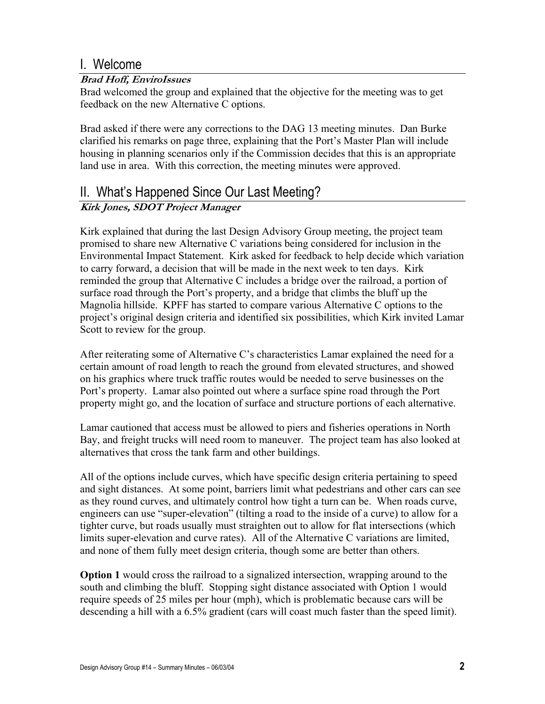### I. Welcome

#### **Brad Hoff, EnviroIssues**

Brad welcomed the group and explained that the objective for the meeting was to get feedback on the new Alternative C options.

Brad asked if there were any corrections to the DAG 13 meeting minutes. Dan Burke clarified his remarks on page three, explaining that the Port's Master Plan will include housing in planning scenarios only if the Commission decides that this is an appropriate land use in area. With this correction, the meeting minutes were approved.

### II. What's Happened Since Our Last Meeting?

### **Kirk Jones, SDOT Project Manager**

Kirk explained that during the last Design Advisory Group meeting, the project team promised to share new Alternative C variations being considered for inclusion in the Environmental Impact Statement. Kirk asked for feedback to help decide which variation to carry forward, a decision that will be made in the next week to ten days. Kirk reminded the group that Alternative C includes a bridge over the railroad, a portion of surface road through the Port's property, and a bridge that climbs the bluff up the Magnolia hillside. KPFF has started to compare various Alternative C options to the project's original design criteria and identified six possibilities, which Kirk invited Lamar Scott to review for the group.

After reiterating some of Alternative C's characteristics Lamar explained the need for a certain amount of road length to reach the ground from elevated structures, and showed on his graphics where truck traffic routes would be needed to serve businesses on the Port's property. Lamar also pointed out where a surface spine road through the Port property might go, and the location of surface and structure portions of each alternative.

Lamar cautioned that access must be allowed to piers and fisheries operations in North Bay, and freight trucks will need room to maneuver. The project team has also looked at alternatives that cross the tank farm and other buildings.

All of the options include curves, which have specific design criteria pertaining to speed and sight distances. At some point, barriers limit what pedestrians and other cars can see as they round curves, and ultimately control how tight a turn can be. When roads curve, engineers can use "super-elevation" (tilting a road to the inside of a curve) to allow for a tighter curve, but roads usually must straighten out to allow for flat intersections (which limits super-elevation and curve rates). All of the Alternative C variations are limited, and none of them fully meet design criteria, though some are better than others.

**Option 1** would cross the railroad to a signalized intersection, wrapping around to the south and climbing the bluff. Stopping sight distance associated with Option 1 would require speeds of 25 miles per hour (mph), which is problematic because cars will be descending a hill with a 6.5% gradient (cars will coast much faster than the speed limit).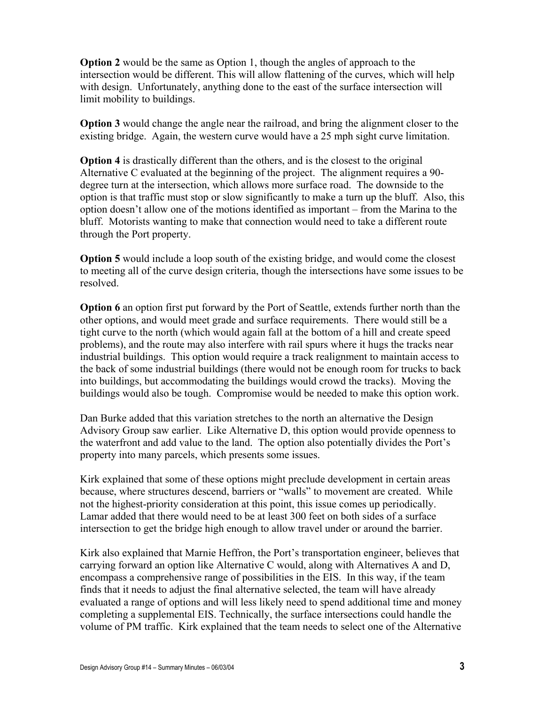**Option 2** would be the same as Option 1, though the angles of approach to the intersection would be different. This will allow flattening of the curves, which will help with design. Unfortunately, anything done to the east of the surface intersection will limit mobility to buildings.

**Option 3** would change the angle near the railroad, and bring the alignment closer to the existing bridge. Again, the western curve would have a 25 mph sight curve limitation.

**Option 4** is drastically different than the others, and is the closest to the original Alternative C evaluated at the beginning of the project. The alignment requires a 90 degree turn at the intersection, which allows more surface road. The downside to the option is that traffic must stop or slow significantly to make a turn up the bluff. Also, this option doesn't allow one of the motions identified as important – from the Marina to the bluff. Motorists wanting to make that connection would need to take a different route through the Port property.

**Option 5** would include a loop south of the existing bridge, and would come the closest to meeting all of the curve design criteria, though the intersections have some issues to be resolved.

**Option 6** an option first put forward by the Port of Seattle, extends further north than the other options, and would meet grade and surface requirements. There would still be a tight curve to the north (which would again fall at the bottom of a hill and create speed problems), and the route may also interfere with rail spurs where it hugs the tracks near industrial buildings. This option would require a track realignment to maintain access to the back of some industrial buildings (there would not be enough room for trucks to back into buildings, but accommodating the buildings would crowd the tracks). Moving the buildings would also be tough. Compromise would be needed to make this option work.

Dan Burke added that this variation stretches to the north an alternative the Design Advisory Group saw earlier. Like Alternative D, this option would provide openness to the waterfront and add value to the land. The option also potentially divides the Port's property into many parcels, which presents some issues.

Kirk explained that some of these options might preclude development in certain areas because, where structures descend, barriers or "walls" to movement are created. While not the highest-priority consideration at this point, this issue comes up periodically. Lamar added that there would need to be at least 300 feet on both sides of a surface intersection to get the bridge high enough to allow travel under or around the barrier.

Kirk also explained that Marnie Heffron, the Port's transportation engineer, believes that carrying forward an option like Alternative C would, along with Alternatives A and D, encompass a comprehensive range of possibilities in the EIS. In this way, if the team finds that it needs to adjust the final alternative selected, the team will have already evaluated a range of options and will less likely need to spend additional time and money completing a supplemental EIS. Technically, the surface intersections could handle the volume of PM traffic. Kirk explained that the team needs to select one of the Alternative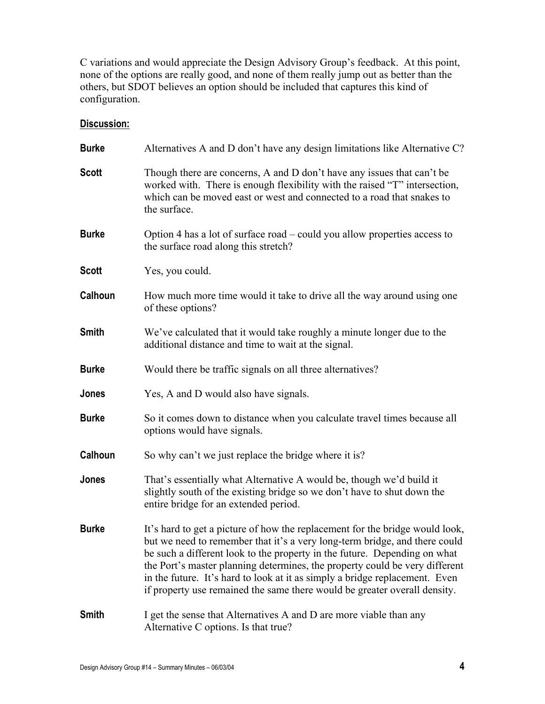C variations and would appreciate the Design Advisory Group's feedback. At this point, none of the options are really good, and none of them really jump out as better than the others, but SDOT believes an option should be included that captures this kind of configuration.

#### **Discussion:**

| <b>Burke</b> | Alternatives A and D don't have any design limitations like Alternative C?                                                                                                                                                                                                                                                                                                                                                                                                         |
|--------------|------------------------------------------------------------------------------------------------------------------------------------------------------------------------------------------------------------------------------------------------------------------------------------------------------------------------------------------------------------------------------------------------------------------------------------------------------------------------------------|
| <b>Scott</b> | Though there are concerns, A and D don't have any issues that can't be<br>worked with. There is enough flexibility with the raised "T" intersection,<br>which can be moved east or west and connected to a road that snakes to<br>the surface.                                                                                                                                                                                                                                     |
| <b>Burke</b> | Option 4 has a lot of surface road – could you allow properties access to<br>the surface road along this stretch?                                                                                                                                                                                                                                                                                                                                                                  |
| <b>Scott</b> | Yes, you could.                                                                                                                                                                                                                                                                                                                                                                                                                                                                    |
| Calhoun      | How much more time would it take to drive all the way around using one<br>of these options?                                                                                                                                                                                                                                                                                                                                                                                        |
| <b>Smith</b> | We've calculated that it would take roughly a minute longer due to the<br>additional distance and time to wait at the signal.                                                                                                                                                                                                                                                                                                                                                      |
| <b>Burke</b> | Would there be traffic signals on all three alternatives?                                                                                                                                                                                                                                                                                                                                                                                                                          |
| Jones        | Yes, A and D would also have signals.                                                                                                                                                                                                                                                                                                                                                                                                                                              |
| <b>Burke</b> | So it comes down to distance when you calculate travel times because all<br>options would have signals.                                                                                                                                                                                                                                                                                                                                                                            |
| Calhoun      | So why can't we just replace the bridge where it is?                                                                                                                                                                                                                                                                                                                                                                                                                               |
| Jones        | That's essentially what Alternative A would be, though we'd build it<br>slightly south of the existing bridge so we don't have to shut down the<br>entire bridge for an extended period.                                                                                                                                                                                                                                                                                           |
| <b>Burke</b> | It's hard to get a picture of how the replacement for the bridge would look,<br>but we need to remember that it's a very long-term bridge, and there could<br>be such a different look to the property in the future. Depending on what<br>the Port's master planning determines, the property could be very different<br>in the future. It's hard to look at it as simply a bridge replacement. Even<br>if property use remained the same there would be greater overall density. |
| <b>Smith</b> | I get the sense that Alternatives A and D are more viable than any<br>Alternative C options. Is that true?                                                                                                                                                                                                                                                                                                                                                                         |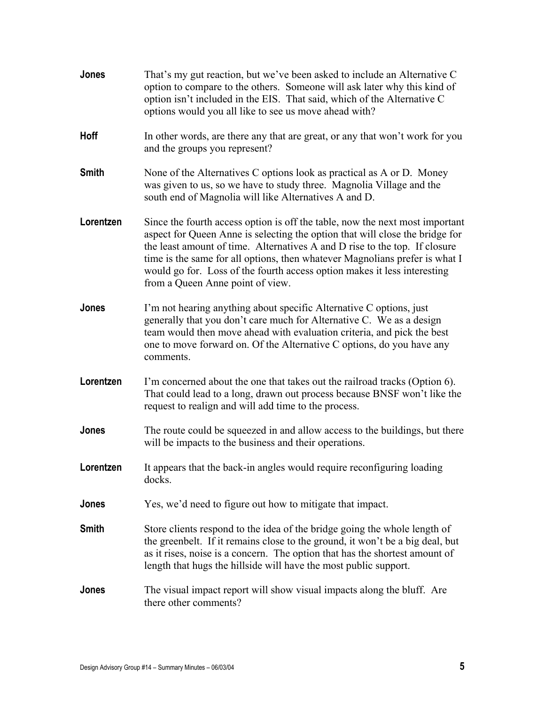| Jones        | That's my gut reaction, but we've been asked to include an Alternative C<br>option to compare to the others. Someone will ask later why this kind of<br>option isn't included in the EIS. That said, which of the Alternative C<br>options would you all like to see us move ahead with?                                                                                                                                                  |
|--------------|-------------------------------------------------------------------------------------------------------------------------------------------------------------------------------------------------------------------------------------------------------------------------------------------------------------------------------------------------------------------------------------------------------------------------------------------|
| Hoff         | In other words, are there any that are great, or any that won't work for you<br>and the groups you represent?                                                                                                                                                                                                                                                                                                                             |
| <b>Smith</b> | None of the Alternatives C options look as practical as A or D. Money<br>was given to us, so we have to study three. Magnolia Village and the<br>south end of Magnolia will like Alternatives A and D.                                                                                                                                                                                                                                    |
| Lorentzen    | Since the fourth access option is off the table, now the next most important<br>aspect for Queen Anne is selecting the option that will close the bridge for<br>the least amount of time. Alternatives A and D rise to the top. If closure<br>time is the same for all options, then whatever Magnolians prefer is what I<br>would go for. Loss of the fourth access option makes it less interesting<br>from a Queen Anne point of view. |
| Jones        | I'm not hearing anything about specific Alternative C options, just<br>generally that you don't care much for Alternative C. We as a design<br>team would then move ahead with evaluation criteria, and pick the best<br>one to move forward on. Of the Alternative C options, do you have any<br>comments.                                                                                                                               |
| Lorentzen    | I'm concerned about the one that takes out the railroad tracks (Option 6).<br>That could lead to a long, drawn out process because BNSF won't like the<br>request to realign and will add time to the process.                                                                                                                                                                                                                            |
| Jones        | The route could be squeezed in and allow access to the buildings, but there<br>will be impacts to the business and their operations.                                                                                                                                                                                                                                                                                                      |
| Lorentzen    | It appears that the back-in angles would require reconfiguring loading<br>docks.                                                                                                                                                                                                                                                                                                                                                          |
| Jones        | Yes, we'd need to figure out how to mitigate that impact.                                                                                                                                                                                                                                                                                                                                                                                 |
| <b>Smith</b> | Store clients respond to the idea of the bridge going the whole length of<br>the greenbelt. If it remains close to the ground, it won't be a big deal, but<br>as it rises, noise is a concern. The option that has the shortest amount of<br>length that hugs the hillside will have the most public support.                                                                                                                             |
| Jones        | The visual impact report will show visual impacts along the bluff. Are<br>there other comments?                                                                                                                                                                                                                                                                                                                                           |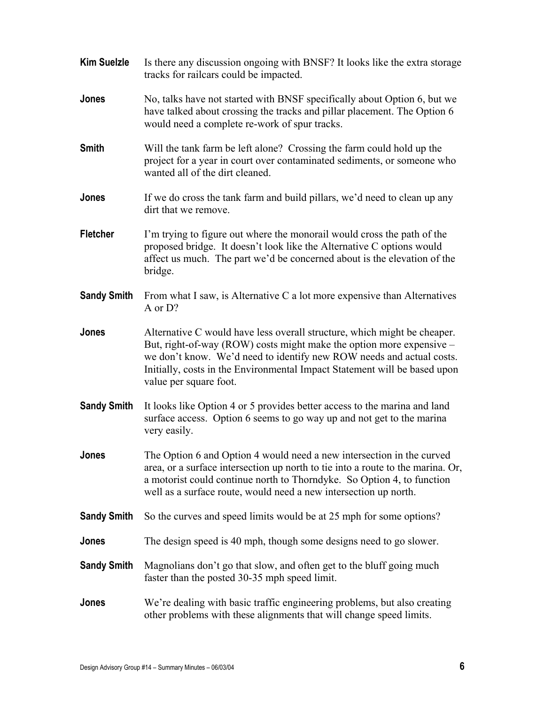| <b>Kim Suelzle</b> | Is there any discussion ongoing with BNSF? It looks like the extra storage<br>tracks for railcars could be impacted.                                                                                                                                                                                                            |
|--------------------|---------------------------------------------------------------------------------------------------------------------------------------------------------------------------------------------------------------------------------------------------------------------------------------------------------------------------------|
| Jones              | No, talks have not started with BNSF specifically about Option 6, but we<br>have talked about crossing the tracks and pillar placement. The Option 6<br>would need a complete re-work of spur tracks.                                                                                                                           |
| <b>Smith</b>       | Will the tank farm be left alone? Crossing the farm could hold up the<br>project for a year in court over contaminated sediments, or someone who<br>wanted all of the dirt cleaned.                                                                                                                                             |
| Jones              | If we do cross the tank farm and build pillars, we'd need to clean up any<br>dirt that we remove.                                                                                                                                                                                                                               |
| <b>Fletcher</b>    | I'm trying to figure out where the monorail would cross the path of the<br>proposed bridge. It doesn't look like the Alternative C options would<br>affect us much. The part we'd be concerned about is the elevation of the<br>bridge.                                                                                         |
| <b>Sandy Smith</b> | From what I saw, is Alternative C a lot more expensive than Alternatives<br>A or D?                                                                                                                                                                                                                                             |
| Jones              | Alternative C would have less overall structure, which might be cheaper.<br>But, right-of-way (ROW) costs might make the option more expensive –<br>we don't know. We'd need to identify new ROW needs and actual costs.<br>Initially, costs in the Environmental Impact Statement will be based upon<br>value per square foot. |
| <b>Sandy Smith</b> | It looks like Option 4 or 5 provides better access to the marina and land<br>surface access. Option 6 seems to go way up and not get to the marina<br>very easily.                                                                                                                                                              |
| Jones              | The Option 6 and Option 4 would need a new intersection in the curved<br>area, or a surface intersection up north to tie into a route to the marina. Or,<br>a motorist could continue north to Thorndyke. So Option 4, to function<br>well as a surface route, would need a new intersection up north.                          |
| <b>Sandy Smith</b> | So the curves and speed limits would be at 25 mph for some options?                                                                                                                                                                                                                                                             |
| Jones              | The design speed is 40 mph, though some designs need to go slower.                                                                                                                                                                                                                                                              |
| <b>Sandy Smith</b> | Magnolians don't go that slow, and often get to the bluff going much<br>faster than the posted 30-35 mph speed limit.                                                                                                                                                                                                           |
| Jones              | We're dealing with basic traffic engineering problems, but also creating<br>other problems with these alignments that will change speed limits.                                                                                                                                                                                 |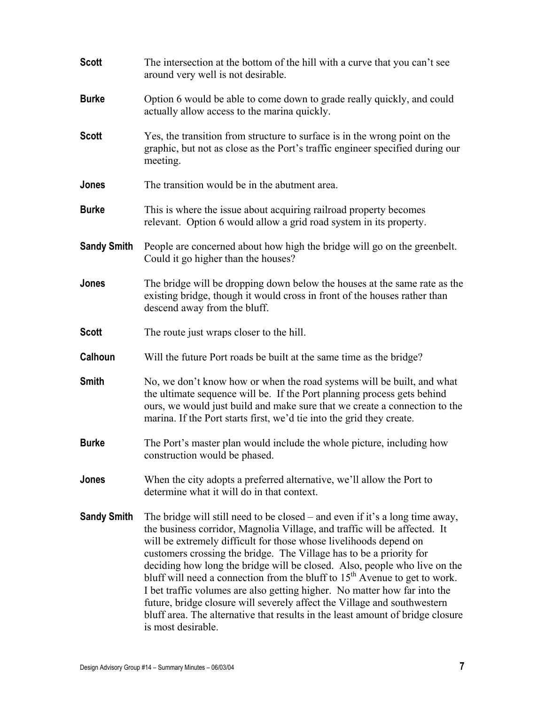| <b>Scott</b>       | The intersection at the bottom of the hill with a curve that you can't see<br>around very well is not desirable.                                                                                                                                                                                                                                                                                                                                                                                                                                                                                                                                                                                                                              |
|--------------------|-----------------------------------------------------------------------------------------------------------------------------------------------------------------------------------------------------------------------------------------------------------------------------------------------------------------------------------------------------------------------------------------------------------------------------------------------------------------------------------------------------------------------------------------------------------------------------------------------------------------------------------------------------------------------------------------------------------------------------------------------|
| Burke              | Option 6 would be able to come down to grade really quickly, and could<br>actually allow access to the marina quickly.                                                                                                                                                                                                                                                                                                                                                                                                                                                                                                                                                                                                                        |
| Scott              | Yes, the transition from structure to surface is in the wrong point on the<br>graphic, but not as close as the Port's traffic engineer specified during our<br>meeting.                                                                                                                                                                                                                                                                                                                                                                                                                                                                                                                                                                       |
| Jones              | The transition would be in the abutment area.                                                                                                                                                                                                                                                                                                                                                                                                                                                                                                                                                                                                                                                                                                 |
| Burke              | This is where the issue about acquiring railroad property becomes<br>relevant. Option 6 would allow a grid road system in its property.                                                                                                                                                                                                                                                                                                                                                                                                                                                                                                                                                                                                       |
| <b>Sandy Smith</b> | People are concerned about how high the bridge will go on the greenbelt.<br>Could it go higher than the houses?                                                                                                                                                                                                                                                                                                                                                                                                                                                                                                                                                                                                                               |
| Jones              | The bridge will be dropping down below the houses at the same rate as the<br>existing bridge, though it would cross in front of the houses rather than<br>descend away from the bluff.                                                                                                                                                                                                                                                                                                                                                                                                                                                                                                                                                        |
| Scott              | The route just wraps closer to the hill.                                                                                                                                                                                                                                                                                                                                                                                                                                                                                                                                                                                                                                                                                                      |
| Calhoun            | Will the future Port roads be built at the same time as the bridge?                                                                                                                                                                                                                                                                                                                                                                                                                                                                                                                                                                                                                                                                           |
| Smith              | No, we don't know how or when the road systems will be built, and what<br>the ultimate sequence will be. If the Port planning process gets behind<br>ours, we would just build and make sure that we create a connection to the<br>marina. If the Port starts first, we'd tie into the grid they create.                                                                                                                                                                                                                                                                                                                                                                                                                                      |
| <b>Burke</b>       | The Port's master plan would include the whole picture, including how<br>construction would be phased.                                                                                                                                                                                                                                                                                                                                                                                                                                                                                                                                                                                                                                        |
| Jones              | When the city adopts a preferred alternative, we'll allow the Port to<br>determine what it will do in that context.                                                                                                                                                                                                                                                                                                                                                                                                                                                                                                                                                                                                                           |
| <b>Sandy Smith</b> | The bridge will still need to be closed – and even if it's a long time away,<br>the business corridor, Magnolia Village, and traffic will be affected. It<br>will be extremely difficult for those whose livelihoods depend on<br>customers crossing the bridge. The Village has to be a priority for<br>deciding how long the bridge will be closed. Also, people who live on the<br>bluff will need a connection from the bluff to 15 <sup>th</sup> Avenue to get to work.<br>I bet traffic volumes are also getting higher. No matter how far into the<br>future, bridge closure will severely affect the Village and southwestern<br>bluff area. The alternative that results in the least amount of bridge closure<br>is most desirable. |